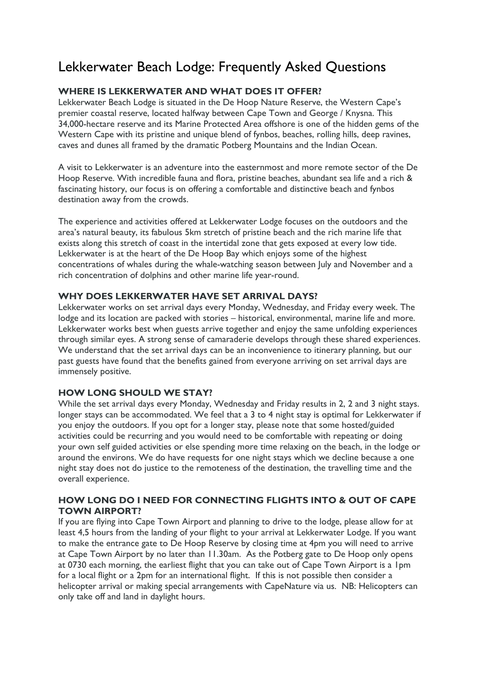# Lekkerwater Beach Lodge: Frequently Asked Questions

# **WHERE IS LEKKERWATER AND WHAT DOES IT OFFER?**

Lekkerwater Beach Lodge is situated in the De Hoop Nature Reserve, the Western Cape's premier coastal reserve, located halfway between Cape Town and George / Knysna. This 34,000-hectare reserve and its Marine Protected Area offshore is one of the hidden gems of the Western Cape with its pristine and unique blend of fynbos, beaches, rolling hills, deep ravines, caves and dunes all framed by the dramatic Potberg Mountains and the Indian Ocean.

A visit to Lekkerwater is an adventure into the easternmost and more remote sector of the De Hoop Reserve. With incredible fauna and flora, pristine beaches, abundant sea life and a rich & fascinating history, our focus is on offering a comfortable and distinctive beach and fynbos destination away from the crowds.

The experience and activities offered at Lekkerwater Lodge focuses on the outdoors and the area's natural beauty, its fabulous 5km stretch of pristine beach and the rich marine life that exists along this stretch of coast in the intertidal zone that gets exposed at every low tide. Lekkerwater is at the heart of the De Hoop Bay which enjoys some of the highest concentrations of whales during the whale-watching season between July and November and a rich concentration of dolphins and other marine life year-round.

## **WHY DOES LEKKERWATER HAVE SET ARRIVAL DAYS?**

Lekkerwater works on set arrival days every Monday, Wednesday, and Friday every week. The lodge and its location are packed with stories – historical, environmental, marine life and more. Lekkerwater works best when guests arrive together and enjoy the same unfolding experiences through similar eyes. A strong sense of camaraderie develops through these shared experiences. We understand that the set arrival days can be an inconvenience to itinerary planning, but our past guests have found that the benefits gained from everyone arriving on set arrival days are immensely positive.

## **HOW LONG SHOULD WE STAY?**

While the set arrival days every Monday, Wednesday and Friday results in 2, 2 and 3 night stays. longer stays can be accommodated. We feel that a 3 to 4 night stay is optimal for Lekkerwater if you enjoy the outdoors. If you opt for a longer stay, please note that some hosted/guided activities could be recurring and you would need to be comfortable with repeating or doing your own self guided activities or else spending more time relaxing on the beach, in the lodge or around the environs. We do have requests for one night stays which we decline because a one night stay does not do justice to the remoteness of the destination, the travelling time and the overall experience.

# **HOW LONG DO I NEED FOR CONNECTING FLIGHTS INTO & OUT OF CAPE TOWN AIRPORT?**

If you are flying into Cape Town Airport and planning to drive to the lodge, please allow for at least 4,5 hours from the landing of your flight to your arrival at Lekkerwater Lodge. If you want to make the entrance gate to De Hoop Reserve by closing time at 4pm you will need to arrive at Cape Town Airport by no later than 11.30am. As the Potberg gate to De Hoop only opens at 0730 each morning, the earliest flight that you can take out of Cape Town Airport is a 1pm for a local flight or a 2pm for an international flight. If this is not possible then consider a helicopter arrival or making special arrangements with CapeNature via us. NB: Helicopters can only take off and land in daylight hours.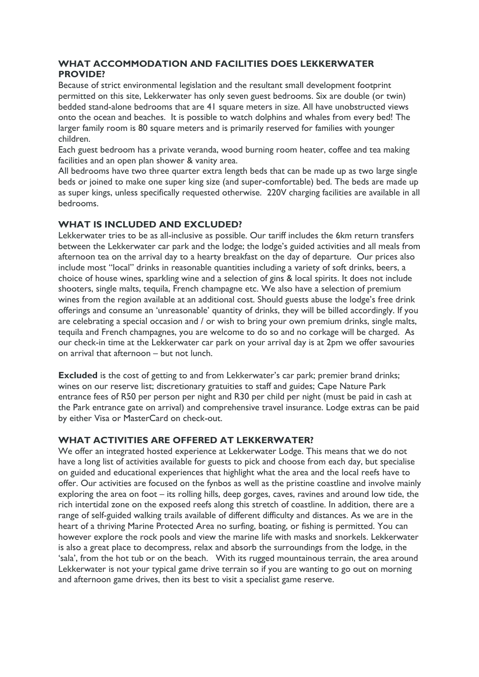# **WHAT ACCOMMODATION AND FACILITIES DOES LEKKERWATER PROVIDE?**

Because of strict environmental legislation and the resultant small development footprint permitted on this site, Lekkerwater has only seven guest bedrooms. Six are double (or twin) bedded stand-alone bedrooms that are 41 square meters in size. All have unobstructed views onto the ocean and beaches. It is possible to watch dolphins and whales from every bed! The larger family room is 80 square meters and is primarily reserved for families with younger children.

Each guest bedroom has a private veranda, wood burning room heater, coffee and tea making facilities and an open plan shower & vanity area.

All bedrooms have two three quarter extra length beds that can be made up as two large single beds or joined to make one super king size (and super-comfortable) bed. The beds are made up as super kings, unless specifically requested otherwise. 220V charging facilities are available in all bedrooms.

# **WHAT IS INCLUDED AND EXCLUDED?**

Lekkerwater tries to be as all-inclusive as possible. Our tariff includes the 6km return transfers between the Lekkerwater car park and the lodge; the lodge's guided activities and all meals from afternoon tea on the arrival day to a hearty breakfast on the day of departure. Our prices also include most "local" drinks in reasonable quantities including a variety of soft drinks, beers, a choice of house wines, sparkling wine and a selection of gins & local spirits. It does not include shooters, single malts, tequila, French champagne etc. We also have a selection of premium wines from the region available at an additional cost. Should guests abuse the lodge's free drink offerings and consume an 'unreasonable' quantity of drinks, they will be billed accordingly. If you are celebrating a special occasion and / or wish to bring your own premium drinks, single malts, tequila and French champagnes, you are welcome to do so and no corkage will be charged. As our check-in time at the Lekkerwater car park on your arrival day is at 2pm we offer savouries on arrival that afternoon – but not lunch.

**Excluded** is the cost of getting to and from Lekkerwater's car park; premier brand drinks; wines on our reserve list; discretionary gratuities to staff and guides; Cape Nature Park entrance fees of R50 per person per night and R30 per child per night (must be paid in cash at the Park entrance gate on arrival) and comprehensive travel insurance. Lodge extras can be paid by either Visa or MasterCard on check-out.

# **WHAT ACTIVITIES ARE OFFERED AT LEKKERWATER?**

We offer an integrated hosted experience at Lekkerwater Lodge. This means that we do not have a long list of activities available for guests to pick and choose from each day, but specialise on guided and educational experiences that highlight what the area and the local reefs have to offer. Our activities are focused on the fynbos as well as the pristine coastline and involve mainly exploring the area on foot – its rolling hills, deep gorges, caves, ravines and around low tide, the rich intertidal zone on the exposed reefs along this stretch of coastline. In addition, there are a range of self-guided walking trails available of different difficulty and distances. As we are in the heart of a thriving Marine Protected Area no surfing, boating, or fishing is permitted. You can however explore the rock pools and view the marine life with masks and snorkels. Lekkerwater is also a great place to decompress, relax and absorb the surroundings from the lodge, in the 'sala', from the hot tub or on the beach. With its rugged mountainous terrain, the area around Lekkerwater is not your typical game drive terrain so if you are wanting to go out on morning and afternoon game drives, then its best to visit a specialist game reserve.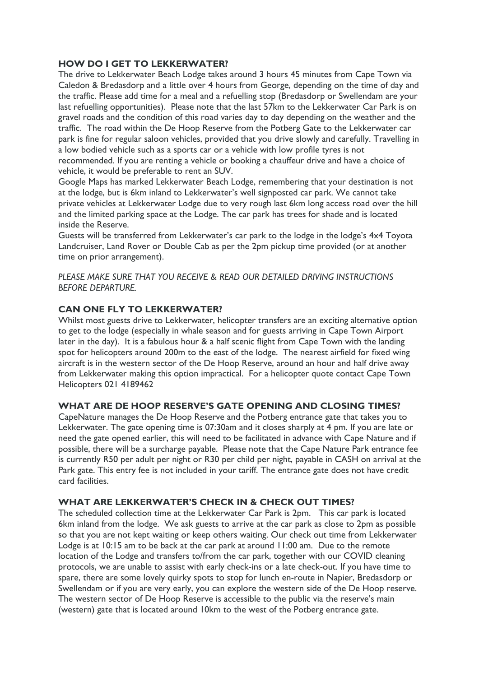# **HOW DO I GET TO LEKKERWATER?**

The drive to Lekkerwater Beach Lodge takes around 3 hours 45 minutes from Cape Town via Caledon & Bredasdorp and a little over 4 hours from George, depending on the time of day and the traffic. Please add time for a meal and a refuelling stop (Bredasdorp or Swellendam are your last refuelling opportunities). Please note that the last 57km to the Lekkerwater Car Park is on gravel roads and the condition of this road varies day to day depending on the weather and the traffic. The road within the De Hoop Reserve from the Potberg Gate to the Lekkerwater car park is fine for regular saloon vehicles, provided that you drive slowly and carefully. Travelling in a low bodied vehicle such as a sports car or a vehicle with low profile tyres is not recommended. If you are renting a vehicle or booking a chauffeur drive and have a choice of vehicle, it would be preferable to rent an SUV.

Google Maps has marked Lekkerwater Beach Lodge, remembering that your destination is not at the lodge, but is 6km inland to Lekkerwater's well signposted car park. We cannot take private vehicles at Lekkerwater Lodge due to very rough last 6km long access road over the hill and the limited parking space at the Lodge. The car park has trees for shade and is located inside the Reserve.

Guests will be transferred from Lekkerwater's car park to the lodge in the lodge's 4x4 Toyota Landcruiser, Land Rover or Double Cab as per the 2pm pickup time provided (or at another time on prior arrangement).

*PLEASE MAKE SURE THAT YOU RECEIVE & READ OUR DETAILED DRIVING INSTRUCTIONS BEFORE DEPARTURE.* 

# **CAN ONE FLY TO LEKKERWATER?**

Whilst most guests drive to Lekkerwater, helicopter transfers are an exciting alternative option to get to the lodge (especially in whale season and for guests arriving in Cape Town Airport later in the day). It is a fabulous hour & a half scenic flight from Cape Town with the landing spot for helicopters around 200m to the east of the lodge. The nearest airfield for fixed wing aircraft is in the western sector of the De Hoop Reserve, around an hour and half drive away from Lekkerwater making this option impractical. For a helicopter quote contact Cape Town Helicopters 021 4189462

## **WHAT ARE DE HOOP RESERVE'S GATE OPENING AND CLOSING TIMES?**

CapeNature manages the De Hoop Reserve and the Potberg entrance gate that takes you to Lekkerwater. The gate opening time is 07:30am and it closes sharply at 4 pm. If you are late or need the gate opened earlier, this will need to be facilitated in advance with Cape Nature and if possible, there will be a surcharge payable. Please note that the Cape Nature Park entrance fee is currently R50 per adult per night or R30 per child per night, payable in CASH on arrival at the Park gate. This entry fee is not included in your tariff. The entrance gate does not have credit card facilities.

## **WHAT ARE LEKKERWATER'S CHECK IN & CHECK OUT TIMES?**

The scheduled collection time at the Lekkerwater Car Park is 2pm. This car park is located 6km inland from the lodge. We ask guests to arrive at the car park as close to 2pm as possible so that you are not kept waiting or keep others waiting. Our check out time from Lekkerwater Lodge is at 10:15 am to be back at the car park at around 11:00 am. Due to the remote location of the Lodge and transfers to/from the car park, together with our COVID cleaning protocols, we are unable to assist with early check-ins or a late check-out. If you have time to spare, there are some lovely quirky spots to stop for lunch en-route in Napier, Bredasdorp or Swellendam or if you are very early, you can explore the western side of the De Hoop reserve. The western sector of De Hoop Reserve is accessible to the public via the reserve's main (western) gate that is located around 10km to the west of the Potberg entrance gate.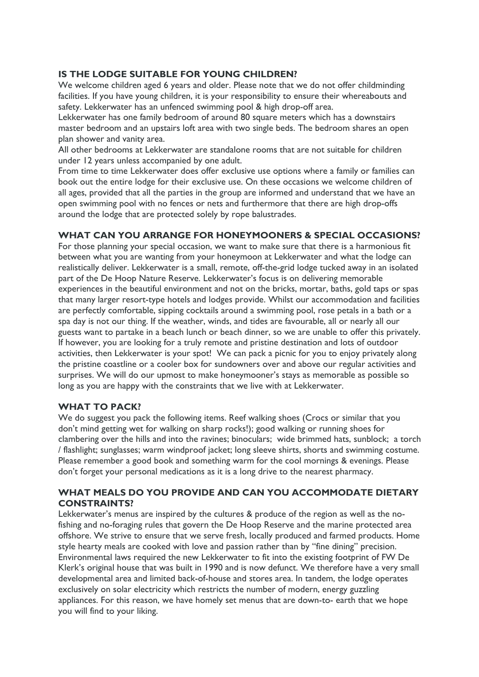# **IS THE LODGE SUITABLE FOR YOUNG CHILDREN?**

We welcome children aged 6 years and older. Please note that we do not offer childminding facilities. If you have young children, it is your responsibility to ensure their whereabouts and safety. Lekkerwater has an unfenced swimming pool & high drop-off area.

Lekkerwater has one family bedroom of around 80 square meters which has a downstairs master bedroom and an upstairs loft area with two single beds. The bedroom shares an open plan shower and vanity area.

All other bedrooms at Lekkerwater are standalone rooms that are not suitable for children under 12 years unless accompanied by one adult.

From time to time Lekkerwater does offer exclusive use options where a family or families can book out the entire lodge for their exclusive use. On these occasions we welcome children of all ages, provided that all the parties in the group are informed and understand that we have an open swimming pool with no fences or nets and furthermore that there are high drop-offs around the lodge that are protected solely by rope balustrades.

# **WHAT CAN YOU ARRANGE FOR HONEYMOONERS & SPECIAL OCCASIONS?**

For those planning your special occasion, we want to make sure that there is a harmonious fit between what you are wanting from your honeymoon at Lekkerwater and what the lodge can realistically deliver. Lekkerwater is a small, remote, off-the-grid lodge tucked away in an isolated part of the De Hoop Nature Reserve. Lekkerwater's focus is on delivering memorable experiences in the beautiful environment and not on the bricks, mortar, baths, gold taps or spas that many larger resort-type hotels and lodges provide. Whilst our accommodation and facilities are perfectly comfortable, sipping cocktails around a swimming pool, rose petals in a bath or a spa day is not our thing. If the weather, winds, and tides are favourable, all or nearly all our guests want to partake in a beach lunch or beach dinner, so we are unable to offer this privately. If however, you are looking for a truly remote and pristine destination and lots of outdoor activities, then Lekkerwater is your spot! We can pack a picnic for you to enjoy privately along the pristine coastline or a cooler box for sundowners over and above our regular activities and surprises. We will do our upmost to make honeymooner's stays as memorable as possible so long as you are happy with the constraints that we live with at Lekkerwater.

## **WHAT TO PACK?**

We do suggest you pack the following items. Reef walking shoes (Crocs or similar that you don't mind getting wet for walking on sharp rocks!); good walking or running shoes for clambering over the hills and into the ravines; binoculars; wide brimmed hats, sunblock; a torch / flashlight; sunglasses; warm windproof jacket; long sleeve shirts, shorts and swimming costume. Please remember a good book and something warm for the cool mornings & evenings. Please don't forget your personal medications as it is a long drive to the nearest pharmacy.

# **WHAT MEALS DO YOU PROVIDE AND CAN YOU ACCOMMODATE DIETARY CONSTRAINTS?**

Lekkerwater's menus are inspired by the cultures & produce of the region as well as the nofishing and no-foraging rules that govern the De Hoop Reserve and the marine protected area offshore. We strive to ensure that we serve fresh, locally produced and farmed products. Home style hearty meals are cooked with love and passion rather than by "fine dining" precision. Environmental laws required the new Lekkerwater to fit into the existing footprint of FW De Klerk's original house that was built in 1990 and is now defunct. We therefore have a very small developmental area and limited back-of-house and stores area. In tandem, the lodge operates exclusively on solar electricity which restricts the number of modern, energy guzzling appliances. For this reason, we have homely set menus that are down-to- earth that we hope you will find to your liking.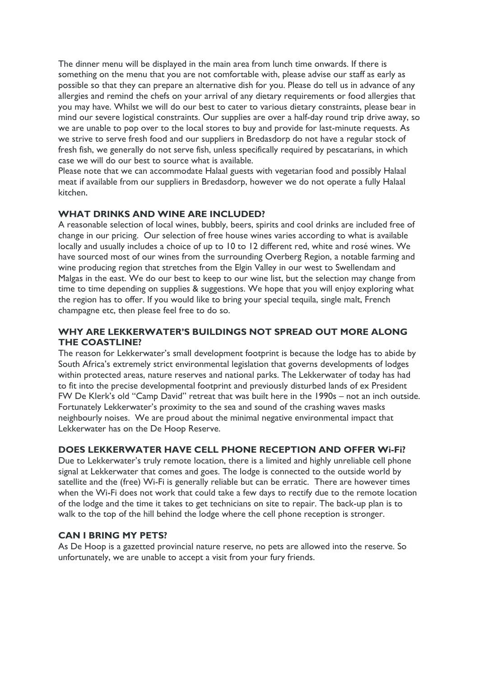The dinner menu will be displayed in the main area from lunch time onwards. If there is something on the menu that you are not comfortable with, please advise our staff as early as possible so that they can prepare an alternative dish for you. Please do tell us in advance of any allergies and remind the chefs on your arrival of any dietary requirements or food allergies that you may have. Whilst we will do our best to cater to various dietary constraints, please bear in mind our severe logistical constraints. Our supplies are over a half-day round trip drive away, so we are unable to pop over to the local stores to buy and provide for last-minute requests. As we strive to serve fresh food and our suppliers in Bredasdorp do not have a regular stock of fresh fish, we generally do not serve fish, unless specifically required by pescatarians, in which case we will do our best to source what is available.

Please note that we can accommodate Halaal guests with vegetarian food and possibly Halaal meat if available from our suppliers in Bredasdorp, however we do not operate a fully Halaal kitchen.

# **WHAT DRINKS AND WINE ARE INCLUDED?**

A reasonable selection of local wines, bubbly, beers, spirits and cool drinks are included free of change in our pricing. Our selection of free house wines varies according to what is available locally and usually includes a choice of up to 10 to 12 different red, white and rosé wines. We have sourced most of our wines from the surrounding Overberg Region, a notable farming and wine producing region that stretches from the Elgin Valley in our west to Swellendam and Malgas in the east. We do our best to keep to our wine list, but the selection may change from time to time depending on supplies & suggestions. We hope that you will enjoy exploring what the region has to offer. If you would like to bring your special tequila, single malt, French champagne etc, then please feel free to do so.

# **WHY ARE LEKKERWATER'S BUILDINGS NOT SPREAD OUT MORE ALONG THE COASTLINE?**

The reason for Lekkerwater's small development footprint is because the lodge has to abide by South Africa's extremely strict environmental legislation that governs developments of lodges within protected areas, nature reserves and national parks. The Lekkerwater of today has had to fit into the precise developmental footprint and previously disturbed lands of ex President FW De Klerk's old "Camp David" retreat that was built here in the 1990s – not an inch outside. Fortunately Lekkerwater's proximity to the sea and sound of the crashing waves masks neighbourly noises. We are proud about the minimal negative environmental impact that Lekkerwater has on the De Hoop Reserve.

# **DOES LEKKERWATER HAVE CELL PHONE RECEPTION AND OFFER Wi-Fi?**

Due to Lekkerwater's truly remote location, there is a limited and highly unreliable cell phone signal at Lekkerwater that comes and goes. The lodge is connected to the outside world by satellite and the (free) Wi-Fi is generally reliable but can be erratic. There are however times when the Wi-Fi does not work that could take a few days to rectify due to the remote location of the lodge and the time it takes to get technicians on site to repair. The back-up plan is to walk to the top of the hill behind the lodge where the cell phone reception is stronger.

## **CAN I BRING MY PETS?**

As De Hoop is a gazetted provincial nature reserve, no pets are allowed into the reserve. So unfortunately, we are unable to accept a visit from your fury friends.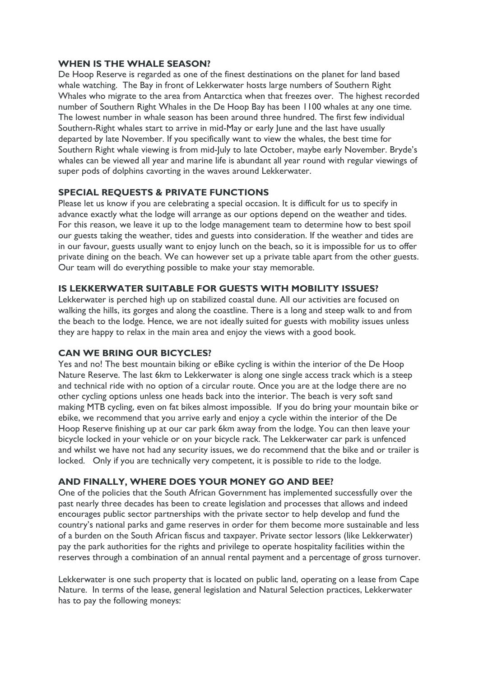## **WHEN IS THE WHALE SEASON?**

De Hoop Reserve is regarded as one of the finest destinations on the planet for land based whale watching. The Bay in front of Lekkerwater hosts large numbers of Southern Right Whales who migrate to the area from Antarctica when that freezes over. The highest recorded number of Southern Right Whales in the De Hoop Bay has been 1100 whales at any one time. The lowest number in whale season has been around three hundred. The first few individual Southern-Right whales start to arrive in mid-May or early June and the last have usually departed by late November. If you specifically want to view the whales, the best time for Southern Right whale viewing is from mid-July to late October, maybe early November. Bryde's whales can be viewed all year and marine life is abundant all year round with regular viewings of super pods of dolphins cavorting in the waves around Lekkerwater.

# **SPECIAL REQUESTS & PRIVATE FUNCTIONS**

Please let us know if you are celebrating a special occasion. It is difficult for us to specify in advance exactly what the lodge will arrange as our options depend on the weather and tides. For this reason, we leave it up to the lodge management team to determine how to best spoil our guests taking the weather, tides and guests into consideration. If the weather and tides are in our favour, guests usually want to enjoy lunch on the beach, so it is impossible for us to offer private dining on the beach. We can however set up a private table apart from the other guests. Our team will do everything possible to make your stay memorable.

## **IS LEKKERWATER SUITABLE FOR GUESTS WITH MOBILITY ISSUES?**

Lekkerwater is perched high up on stabilized coastal dune. All our activities are focused on walking the hills, its gorges and along the coastline. There is a long and steep walk to and from the beach to the lodge. Hence, we are not ideally suited for guests with mobility issues unless they are happy to relax in the main area and enjoy the views with a good book.

## **CAN WE BRING OUR BICYCLES?**

Yes and no! The best mountain biking or eBike cycling is within the interior of the De Hoop Nature Reserve. The last 6km to Lekkerwater is along one single access track which is a steep and technical ride with no option of a circular route. Once you are at the lodge there are no other cycling options unless one heads back into the interior. The beach is very soft sand making MTB cycling, even on fat bikes almost impossible. If you do bring your mountain bike or ebike, we recommend that you arrive early and enjoy a cycle within the interior of the De Hoop Reserve finishing up at our car park 6km away from the lodge. You can then leave your bicycle locked in your vehicle or on your bicycle rack. The Lekkerwater car park is unfenced and whilst we have not had any security issues, we do recommend that the bike and or trailer is locked. Only if you are technically very competent, it is possible to ride to the lodge.

## **AND FINALLY, WHERE DOES YOUR MONEY GO AND BEE?**

One of the policies that the South African Government has implemented successfully over the past nearly three decades has been to create legislation and processes that allows and indeed encourages public sector partnerships with the private sector to help develop and fund the country's national parks and game reserves in order for them become more sustainable and less of a burden on the South African fiscus and taxpayer. Private sector lessors (like Lekkerwater) pay the park authorities for the rights and privilege to operate hospitality facilities within the reserves through a combination of an annual rental payment and a percentage of gross turnover.

Lekkerwater is one such property that is located on public land, operating on a lease from Cape Nature. In terms of the lease, general legislation and Natural Selection practices, Lekkerwater has to pay the following moneys: